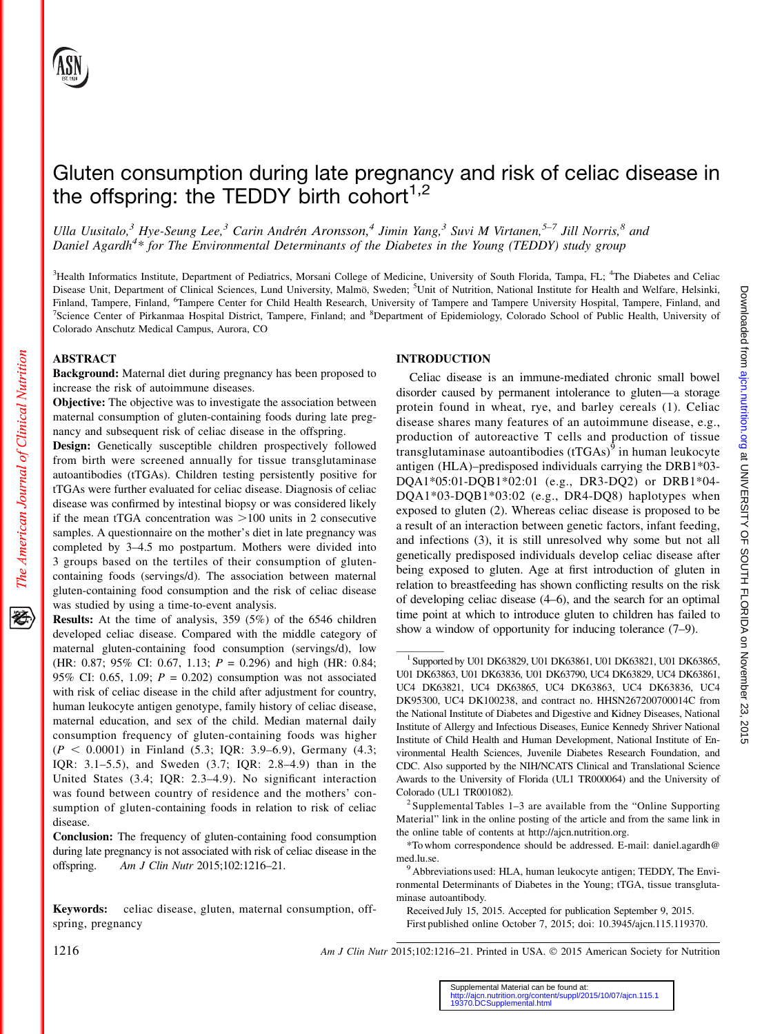# Gluten consumption during late pregnancy and risk of celiac disease in the offspring: the TEDDY birth cohort $1,2$

Ulla Uusitalo,<sup>3</sup> Hye-Seung Lee,<sup>3</sup> Carin Andrén Aronsson,<sup>4</sup> Jimin Yang,<sup>3</sup> Suvi M Virtanen,<sup>5–7</sup> Jill Norris,<sup>8</sup> and Daniel Agardh<sup>4\*</sup> for The Environmental Determinants of the Diabetes in the Young (TEDDY) study group

<sup>3</sup>Health Informatics Institute, Department of Pediatrics, Morsani College of Medicine, University of South Florida, Tampa, FL; <sup>4</sup>The Diabetes and Celiac Disease Unit, Department of Clinical Sciences, Lund University, Malmö, Sweden; <sup>5</sup>Unit of Nutrition, National Institute for Health and Welfare, Helsinki, Finland, Tampere, Finland, <sup>6</sup>Tampere Center for Child Health Research, University of Tampere and Tampere University Hospital, Tampere, Finland, and 7Science Center of Birkannes Hospital District Tampere, Finland, and <sup>8</sup>D Science Center of Pirkanmaa Hospital District, Tampere, Finland; and <sup>8</sup>Department of Epidemiology, Colorado School of Public Health, University of Colorado Anschutz Medical Campus, Aurora, CO

# ABSTRACT

The American Journal of Clinical Nutrition

Background: Maternal diet during pregnancy has been proposed to increase the risk of autoimmune diseases.

Objective: The objective was to investigate the association between maternal consumption of gluten-containing foods during late pregnancy and subsequent risk of celiac disease in the offspring.

Design: Genetically susceptible children prospectively followed from birth were screened annually for tissue transglutaminase autoantibodies (tTGAs). Children testing persistently positive for tTGAs were further evaluated for celiac disease. Diagnosis of celiac disease was confirmed by intestinal biopsy or was considered likely if the mean tTGA concentration was  $>100$  units in 2 consecutive samples. A questionnaire on the mother's diet in late pregnancy was completed by 3–4.5 mo postpartum. Mothers were divided into 3 groups based on the tertiles of their consumption of glutencontaining foods (servings/d). The association between maternal gluten-containing food consumption and the risk of celiac disease was studied by using a time-to-event analysis.

Results: At the time of analysis, 359 (5%) of the 6546 children developed celiac disease. Compared with the middle category of maternal gluten-containing food consumption (servings/d), low (HR: 0.87; 95% CI: 0.67, 1.13;  $P = 0.296$ ) and high (HR: 0.84; 95% CI: 0.65, 1.09;  $P = 0.202$ ) consumption was not associated with risk of celiac disease in the child after adjustment for country, human leukocyte antigen genotype, family history of celiac disease, maternal education, and sex of the child. Median maternal daily consumption frequency of gluten-containing foods was higher  $(P < 0.0001)$  in Finland (5.3; IQR: 3.9–6.9), Germany (4.3; IQR: 3.1–5.5), and Sweden (3.7; IQR: 2.8–4.9) than in the United States (3.4; IQR: 2.3–4.9). No significant interaction was found between country of residence and the mothers' consumption of gluten-containing foods in relation to risk of celiac disease.

Conclusion: The frequency of gluten-containing food consumption during late pregnancy is not associated with risk of celiac disease in the offspring. Am J Clin Nutr 2015;102:1216–21.

Keywords: celiac disease, gluten, maternal consumption, offspring, pregnancy

# INTRODUCTION

Celiac disease is an immune-mediated chronic small bowel disorder caused by permanent intolerance to gluten—a storage protein found in wheat, rye, and barley cereals (1). Celiac disease shares many features of an autoimmune disease, e.g., production of autoreactive T cells and production of tissue transglutaminase autoantibodies  $({tTGAs})^9$  in human leukocyte antigen (HLA)–predisposed individuals carrying the DRB1\*03- DQA1\*05:01-DQB1\*02:01 (e.g., DR3-DQ2) or DRB1\*04- DQA1\*03-DQB1\*03:02 (e.g., DR4-DQ8) haplotypes when exposed to gluten (2). Whereas celiac disease is proposed to be a result of an interaction between genetic factors, infant feeding, and infections (3), it is still unresolved why some but not all genetically predisposed individuals develop celiac disease after being exposed to gluten. Age at first introduction of gluten in relation to breastfeeding has shown conflicting results on the risk of developing celiac disease (4–6), and the search for an optimal time point at which to introduce gluten to children has failed to show a window of opportunity for inducing tolerance (7–9).

1216 Am J Clin Nutr 2015;102:1216–21. Printed in USA. © 2015 American Society for Nutrition

<sup>1</sup> Supported by U01 DK63829, U01 DK63861, U01 DK63821, U01 DK63865, U01 DK63863, U01 DK63836, U01 DK63790, UC4 DK63829, UC4 DK63861, UC4 DK63821, UC4 DK63865, UC4 DK63863, UC4 DK63836, UC4 DK95300, UC4 DK100238, and contract no. HHSN267200700014C from the National Institute of Diabetes and Digestive and Kidney Diseases, National Institute of Allergy and Infectious Diseases, Eunice Kennedy Shriver National Institute of Child Health and Human Development, National Institute of Environmental Health Sciences, Juvenile Diabetes Research Foundation, and CDC. Also supported by the NIH/NCATS Clinical and Translational Science Awards to the University of Florida (UL1 TR000064) and the University of

Colorado (UL1 TR001082).<br><sup>2</sup> Supplemental Tables 1–3 are available from the "Online Supporting" Material" link in the online posting of the article and from the same link in the online table of contents at http://ajcn.nutrition.org.

<sup>\*</sup>To whom correspondence should be addressed. E-mail: daniel.agardh@ med.lu.se.

<sup>&</sup>lt;sup>9</sup> Abbreviations used: HLA, human leukocyte antigen; TEDDY, The Environmental Determinants of Diabetes in the Young; tTGA, tissue transglutaminase autoantibody.

Received July 15, 2015. Accepted for publication September 9, 2015. First published online October 7, 2015; doi: 10.3945/ajcn.115.119370.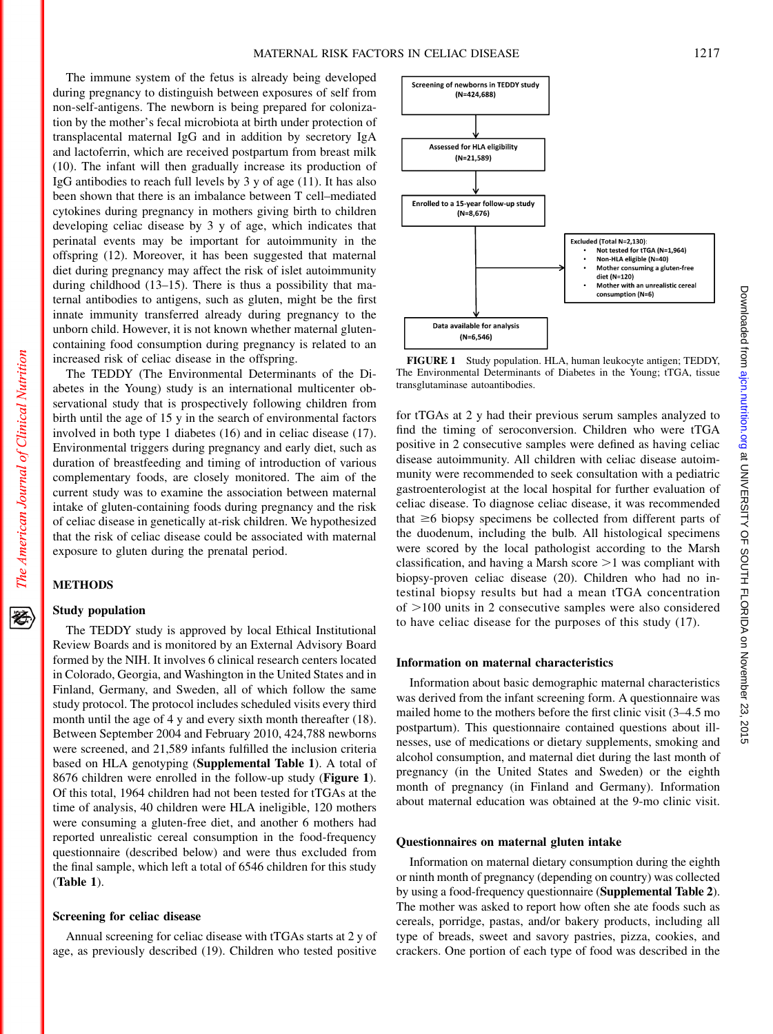Screening of newborns in TEDDY study  $(N=424.688)$ 

> **Assessed for HLA eligibility**  $(N=21,589)$

The immune system of the fetus is already being developed during pregnancy to distinguish between exposures of self from non-self-antigens. The newborn is being prepared for colonization by the mother's fecal microbiota at birth under protection of transplacental maternal IgG and in addition by secretory IgA and lactoferrin, which are received postpartum from breast milk (10). The infant will then gradually increase its production of IgG antibodies to reach full levels by 3 y of age (11). It has also been shown that there is an imbalance between T cell–mediated cytokines during pregnancy in mothers giving birth to children developing celiac disease by 3 y of age, which indicates that perinatal events may be important for autoimmunity in the offspring (12). Moreover, it has been suggested that maternal diet during pregnancy may affect the risk of islet autoimmunity during childhood (13–15). There is thus a possibility that maternal antibodies to antigens, such as gluten, might be the first innate immunity transferred already during pregnancy to the unborn child. However, it is not known whether maternal glutencontaining food consumption during pregnancy is related to an increased risk of celiac disease in the offspring.

The TEDDY (The Environmental Determinants of the Diabetes in the Young) study is an international multicenter observational study that is prospectively following children from birth until the age of 15 y in the search of environmental factors involved in both type 1 diabetes (16) and in celiac disease (17). Environmental triggers during pregnancy and early diet, such as duration of breastfeeding and timing of introduction of various complementary foods, are closely monitored. The aim of the current study was to examine the association between maternal intake of gluten-containing foods during pregnancy and the risk of celiac disease in genetically at-risk children. We hypothesized that the risk of celiac disease could be associated with maternal exposure to gluten during the prenatal period.

# METHODS

The American Journal of Clinical Nutrition

经

# Study population

The TEDDY study is approved by local Ethical Institutional Review Boards and is monitored by an External Advisory Board formed by the NIH. It involves 6 clinical research centers located in Colorado, Georgia, and Washington in the United States and in Finland, Germany, and Sweden, all of which follow the same study protocol. The protocol includes scheduled visits every third month until the age of 4 y and every sixth month thereafter (18). Between September 2004 and February 2010, 424,788 newborns were screened, and 21,589 infants fulfilled the inclusion criteria based on HLA genotyping (Supplemental Table 1). A total of 8676 children were enrolled in the follow-up study (Figure 1). Of this total, 1964 children had not been tested for tTGAs at the time of analysis, 40 children were HLA ineligible, 120 mothers were consuming a gluten-free diet, and another 6 mothers had reported unrealistic cereal consumption in the food-frequency questionnaire (described below) and were thus excluded from the final sample, which left a total of 6546 children for this study (Table 1).

## Screening for celiac disease

Annual screening for celiac disease with tTGAs starts at 2 y of age, as previously described (19). Children who tested positive



for tTGAs at 2 y had their previous serum samples analyzed to find the timing of seroconversion. Children who were tTGA positive in 2 consecutive samples were defined as having celiac disease autoimmunity. All children with celiac disease autoimmunity were recommended to seek consultation with a pediatric gastroenterologist at the local hospital for further evaluation of celiac disease. To diagnose celiac disease, it was recommended that  $\geq 6$  biopsy specimens be collected from different parts of the duodenum, including the bulb. All histological specimens were scored by the local pathologist according to the Marsh classification, and having a Marsh score  $\geq 1$  was compliant with biopsy-proven celiac disease (20). Children who had no intestinal biopsy results but had a mean tTGA concentration of  $>100$  units in 2 consecutive samples were also considered to have celiac disease for the purposes of this study (17).

#### Information on maternal characteristics

Information about basic demographic maternal characteristics was derived from the infant screening form. A questionnaire was mailed home to the mothers before the first clinic visit (3–4.5 mo postpartum). This questionnaire contained questions about illnesses, use of medications or dietary supplements, smoking and alcohol consumption, and maternal diet during the last month of pregnancy (in the United States and Sweden) or the eighth month of pregnancy (in Finland and Germany). Information about maternal education was obtained at the 9-mo clinic visit.

#### Questionnaires on maternal gluten intake

Information on maternal dietary consumption during the eighth or ninth month of pregnancy (depending on country) was collected by using a food-frequency questionnaire (Supplemental Table 2). The mother was asked to report how often she ate foods such as cereals, porridge, pastas, and/or bakery products, including all type of breads, sweet and savory pastries, pizza, cookies, and crackers. One portion of each type of food was described in the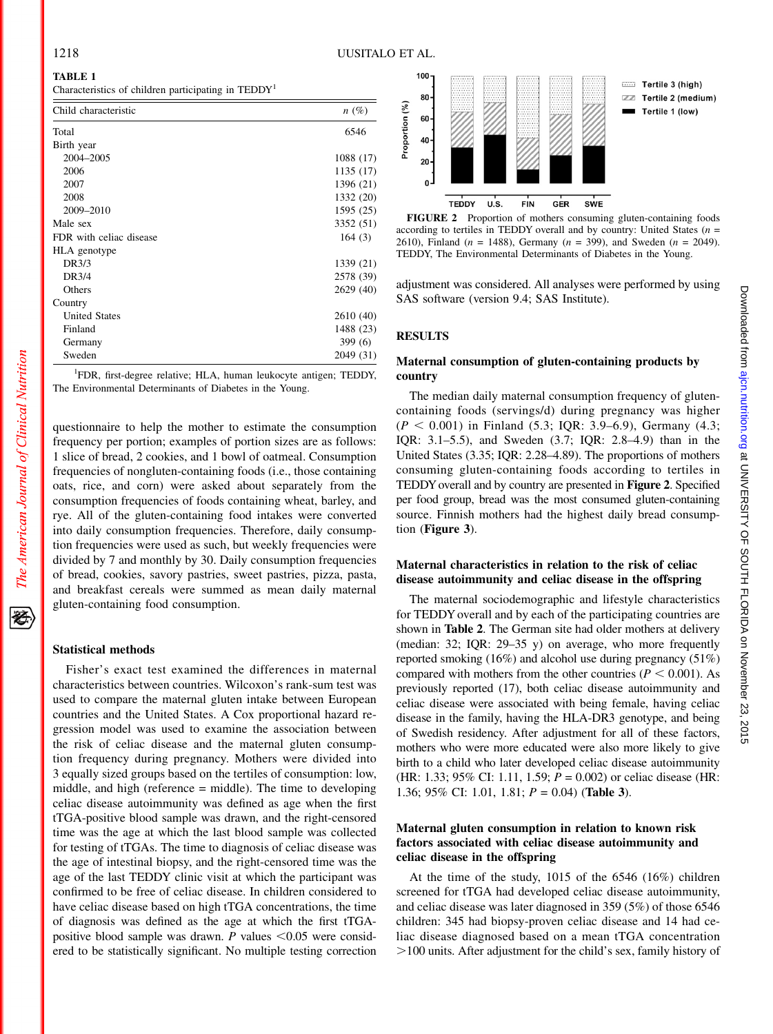# TABLE 1

Characteristics of children participating in TEDDY<sup>1</sup>

| Child characteristic    | $n(\%)$   |
|-------------------------|-----------|
| Total                   | 6546      |
| Birth year              |           |
| 2004-2005               | 1088 (17) |
| 2006                    | 1135 (17) |
| 2007                    | 1396 (21) |
| 2008                    | 1332 (20) |
| 2009-2010               | 1595 (25) |
| Male sex                | 3352 (51) |
| FDR with celiac disease | 164(3)    |
| HLA genotype            |           |
| DR3/3                   | 1339 (21) |
| DR3/4                   | 2578 (39) |
| Others                  | 2629 (40) |
| Country                 |           |
| <b>United States</b>    | 2610 (40) |
| Finland                 | 1488 (23) |
| Germany                 | 399(6)    |
| Sweden                  | 2049 (31) |

<sup>1</sup>FDR, first-degree relative; HLA, human leukocyte antigen; TEDDY, The Environmental Determinants of Diabetes in the Young.

questionnaire to help the mother to estimate the consumption frequency per portion; examples of portion sizes are as follows: 1 slice of bread, 2 cookies, and 1 bowl of oatmeal. Consumption frequencies of nongluten-containing foods (i.e., those containing oats, rice, and corn) were asked about separately from the consumption frequencies of foods containing wheat, barley, and rye. All of the gluten-containing food intakes were converted into daily consumption frequencies. Therefore, daily consumption frequencies were used as such, but weekly frequencies were divided by 7 and monthly by 30. Daily consumption frequencies of bread, cookies, savory pastries, sweet pastries, pizza, pasta, and breakfast cereals were summed as mean daily maternal gluten-containing food consumption.

# Statistical methods

Fisher's exact test examined the differences in maternal characteristics between countries. Wilcoxon's rank-sum test was used to compare the maternal gluten intake between European countries and the United States. A Cox proportional hazard regression model was used to examine the association between the risk of celiac disease and the maternal gluten consumption frequency during pregnancy. Mothers were divided into 3 equally sized groups based on the tertiles of consumption: low, middle, and high (reference = middle). The time to developing celiac disease autoimmunity was defined as age when the first tTGA-positive blood sample was drawn, and the right-censored time was the age at which the last blood sample was collected for testing of tTGAs. The time to diagnosis of celiac disease was the age of intestinal biopsy, and the right-censored time was the age of the last TEDDY clinic visit at which the participant was confirmed to be free of celiac disease. In children considered to have celiac disease based on high tTGA concentrations, the time of diagnosis was defined as the age at which the first tTGApositive blood sample was drawn. P values  $\leq 0.05$  were considered to be statistically significant. No multiple testing correction





adjustment was considered. All analyses were performed by using SAS software (version 9.4; SAS Institute).

#### RESULTS

# Maternal consumption of gluten-containing products by country

The median daily maternal consumption frequency of glutencontaining foods (servings/d) during pregnancy was higher  $(P < 0.001)$  in Finland (5.3; IQR: 3.9–6.9), Germany (4.3; IQR: 3.1–5.5), and Sweden (3.7; IQR: 2.8–4.9) than in the United States (3.35; IQR: 2.28–4.89). The proportions of mothers consuming gluten-containing foods according to tertiles in TEDDY overall and by country are presented in Figure 2. Specified per food group, bread was the most consumed gluten-containing source. Finnish mothers had the highest daily bread consumption (Figure 3).

# Maternal characteristics in relation to the risk of celiac disease autoimmunity and celiac disease in the offspring

The maternal sociodemographic and lifestyle characteristics for TEDDY overall and by each of the participating countries are shown in Table 2. The German site had older mothers at delivery (median: 32; IQR: 29–35 y) on average, who more frequently reported smoking (16%) and alcohol use during pregnancy (51%) compared with mothers from the other countries ( $P < 0.001$ ). As previously reported (17), both celiac disease autoimmunity and celiac disease were associated with being female, having celiac disease in the family, having the HLA-DR3 genotype, and being of Swedish residency. After adjustment for all of these factors, mothers who were more educated were also more likely to give birth to a child who later developed celiac disease autoimmunity (HR: 1.33; 95% CI: 1.11, 1.59;  $P = 0.002$ ) or celiac disease (HR: 1.36; 95% CI: 1.01, 1.81;  $P = 0.04$ ) (Table 3).

# Maternal gluten consumption in relation to known risk factors associated with celiac disease autoimmunity and celiac disease in the offspring

At the time of the study, 1015 of the 6546 (16%) children screened for tTGA had developed celiac disease autoimmunity, and celiac disease was later diagnosed in 359 (5%) of those 6546 children: 345 had biopsy-proven celiac disease and 14 had celiac disease diagnosed based on a mean tTGA concentration .100 units. After adjustment for the child's sex, family history of

经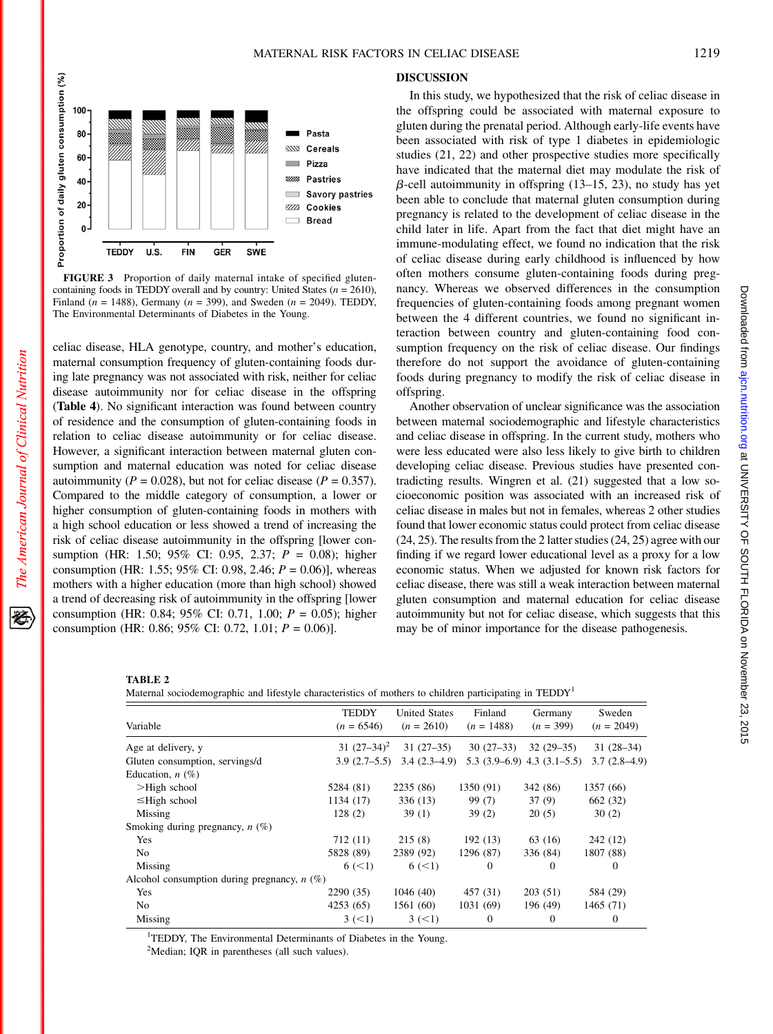

FIGURE 3 Proportion of daily maternal intake of specified glutencontaining foods in TEDDY overall and by country: United States ( $n = 2610$ ), Finland ( $n = 1488$ ), Germany ( $n = 399$ ), and Sweden ( $n = 2049$ ). TEDDY, The Environmental Determinants of Diabetes in the Young.

celiac disease, HLA genotype, country, and mother's education, maternal consumption frequency of gluten-containing foods during late pregnancy was not associated with risk, neither for celiac disease autoimmunity nor for celiac disease in the offspring (Table 4). No significant interaction was found between country of residence and the consumption of gluten-containing foods in relation to celiac disease autoimmunity or for celiac disease. However, a significant interaction between maternal gluten consumption and maternal education was noted for celiac disease autoimmunity ( $P = 0.028$ ), but not for celiac disease ( $P = 0.357$ ). Compared to the middle category of consumption, a lower or higher consumption of gluten-containing foods in mothers with a high school education or less showed a trend of increasing the risk of celiac disease autoimmunity in the offspring [lower consumption (HR: 1.50; 95% CI: 0.95, 2.37; P = 0.08); higher consumption (HR: 1.55; 95% CI: 0.98, 2.46;  $P = 0.06$ )], whereas mothers with a higher education (more than high school) showed a trend of decreasing risk of autoimmunity in the offspring [lower consumption (HR: 0.84; 95% CI: 0.71, 1.00;  $P = 0.05$ ); higher consumption (HR: 0.86; 95% CI: 0.72, 1.01;  $P = 0.06$ )].

#### DISCUSSION

In this study, we hypothesized that the risk of celiac disease in the offspring could be associated with maternal exposure to gluten during the prenatal period. Although early-life events have been associated with risk of type 1 diabetes in epidemiologic studies (21, 22) and other prospective studies more specifically have indicated that the maternal diet may modulate the risk of  $\beta$ -cell autoimmunity in offspring (13–15, 23), no study has yet been able to conclude that maternal gluten consumption during pregnancy is related to the development of celiac disease in the child later in life. Apart from the fact that diet might have an immune-modulating effect, we found no indication that the risk of celiac disease during early childhood is influenced by how often mothers consume gluten-containing foods during pregnancy. Whereas we observed differences in the consumption frequencies of gluten-containing foods among pregnant women between the 4 different countries, we found no significant interaction between country and gluten-containing food consumption frequency on the risk of celiac disease. Our findings therefore do not support the avoidance of gluten-containing foods during pregnancy to modify the risk of celiac disease in offspring.

Another observation of unclear significance was the association between maternal sociodemographic and lifestyle characteristics and celiac disease in offspring. In the current study, mothers who were less educated were also less likely to give birth to children developing celiac disease. Previous studies have presented contradicting results. Wingren et al. (21) suggested that a low socioeconomic position was associated with an increased risk of celiac disease in males but not in females, whereas 2 other studies found that lower economic status could protect from celiac disease (24, 25). The results from the 2 latter studies (24, 25) agree with our finding if we regard lower educational level as a proxy for a low economic status. When we adjusted for known risk factors for celiac disease, there was still a weak interaction between maternal gluten consumption and maternal education for celiac disease autoimmunity but not for celiac disease, which suggests that this may be of minor importance for the disease pathogenesis.

#### TABLE 2

Maternal sociodemographic and lifestyle characteristics of mothers to children participating in TEDDY<sup>1</sup>

| Variable                                      | <b>TEDDY</b><br>$(n = 6546)$ | <b>United States</b><br>$(n = 2610)$ | Finland<br>$(n = 1488)$ | Germany<br>$(n = 399)$         | Sweden<br>$(n = 2049)$ |  |
|-----------------------------------------------|------------------------------|--------------------------------------|-------------------------|--------------------------------|------------------------|--|
| Age at delivery, y                            | 31 $(27-34)^2$               | $31(27-35)$                          | $30(27-33)$             | $32(29-35)$                    | $31(28-34)$            |  |
| Gluten consumption, servings/d                | $3.9(2.7-5.5)$               | $3.4(2.3-4.9)$                       |                         | $5.3(3.9-6.9)$ 4.3 $(3.1-5.5)$ | $3.7(2.8-4.9)$         |  |
| Education, $n$ (%)                            |                              |                                      |                         |                                |                        |  |
| $>$ High school                               | 5284 (81)                    | 2235(86)                             | 1350 (91)               | 342 (86)                       | 1357 (66)              |  |
| $\leq$ High school                            | 1134 (17)                    | 336(13)                              | 99 (7)                  | 37(9)                          | 662 (32)               |  |
| Missing                                       | 128(2)                       | 39(1)                                | 39(2)                   | 20(5)                          | 30(2)                  |  |
| Smoking during pregnancy, $n$ (%)             |                              |                                      |                         |                                |                        |  |
| Yes                                           | 712 (11)                     | 215(8)                               | 192(13)                 | 63 (16)                        | 242 (12)               |  |
| N <sub>0</sub>                                | 5828 (89)                    | 2389 (92)                            | 1296 (87)               | 336 (84)                       | 1807 (88)              |  |
| Missing                                       | 6 (< 1)                      | 6 (< 1)                              | 0                       | $\Omega$                       | $\Omega$               |  |
| Alcohol consumption during pregnancy, $n$ (%) |                              |                                      |                         |                                |                        |  |
| Yes                                           | 2290(35)                     | 1046(40)                             | 457 (31)                | 203(51)                        | 584 (29)               |  |
| N <sub>0</sub>                                | 4253(65)                     | 1561 (60)                            | 1031 (69)               | 196 (49)                       | 1465(71)               |  |
| Missing                                       | 3 (< 1)                      | 3 (< 1)                              | 0                       | $\Omega$                       | $\theta$               |  |

<sup>1</sup>TEDDY, The Environmental Determinants of Diabetes in the Young.

<sup>2</sup>Median; IQR in parentheses (all such values).

Downloaded tron aign using internal of Sulversity ACD and DONDR on November 23, 2015 and Downloaded from an Downloaded from an DONDR on November 23, 201

Downloaded from ajon.nutrition.org at UNIVERSITY OF SOUTH FLORIDA on November 23, 2015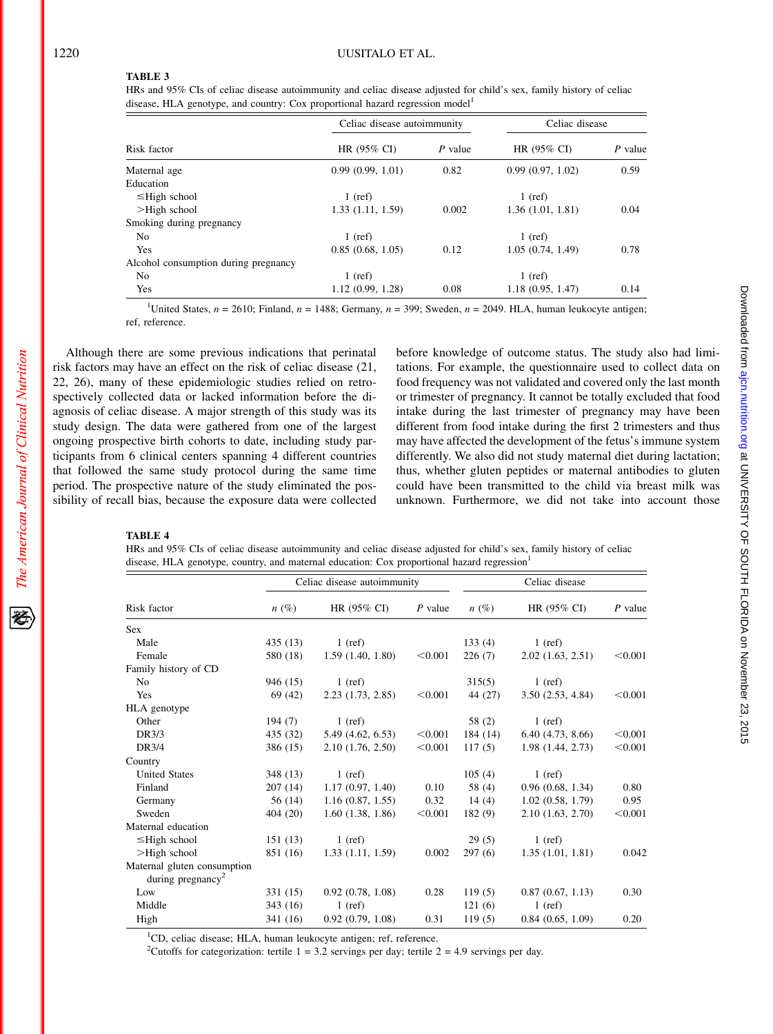#### TABLE 3

HRs and 95% CIs of celiac disease autoimmunity and celiac disease adjusted for child's sex, family history of celiac disease, HLA genotype, and country: Cox proportional hazard regression model<sup>1</sup>

| Risk factor                          | Celiac disease autoimmunity |         | Celiac disease   |         |
|--------------------------------------|-----------------------------|---------|------------------|---------|
|                                      | HR (95% CI)                 | P value | HR (95% CI)      | P value |
| Maternal age                         | 0.99(0.99, 1.01)            | 0.82    | 0.99(0.97, 1.02) | 0.59    |
| Education                            |                             |         |                  |         |
| $\leq$ High school                   | $1$ (ref)                   |         | $1$ (ref)        |         |
| $>$ High school                      | 1.33(1.11, 1.59)            | 0.002   | 1.36(1.01, 1.81) | 0.04    |
| Smoking during pregnancy             |                             |         |                  |         |
| N <sub>0</sub>                       | $1$ (ref)                   |         | $1$ (ref)        |         |
| Yes                                  | 0.85(0.68, 1.05)            | 0.12    | 1.05(0.74, 1.49) | 0.78    |
| Alcohol consumption during pregnancy |                             |         |                  |         |
| N <sub>o</sub>                       | $1$ (ref)                   |         | $1$ (ref)        |         |
| Yes                                  | 1.12(0.99, 1.28)            | 0.08    | 1.18(0.95, 1.47) | 0.14    |

<sup>1</sup>United States,  $n = 2610$ ; Finland,  $n = 1488$ ; Germany,  $n = 399$ ; Sweden,  $n = 2049$ . HLA, human leukocyte antigen; ref, reference.

Although there are some previous indications that perinatal risk factors may have an effect on the risk of celiac disease (21, 22, 26), many of these epidemiologic studies relied on retrospectively collected data or lacked information before the diagnosis of celiac disease. A major strength of this study was its study design. The data were gathered from one of the largest ongoing prospective birth cohorts to date, including study participants from 6 clinical centers spanning 4 different countries that followed the same study protocol during the same time period. The prospective nature of the study eliminated the possibility of recall bias, because the exposure data were collected before knowledge of outcome status. The study also had limitations. For example, the questionnaire used to collect data on food frequency was not validated and covered only the last month or trimester of pregnancy. It cannot be totally excluded that food intake during the last trimester of pregnancy may have been different from food intake during the first 2 trimesters and thus may have affected the development of the fetus's immune system differently. We also did not study maternal diet during lactation; thus, whether gluten peptides or maternal antibodies to gluten could have been transmitted to the child via breast milk was unknown. Furthermore, we did not take into account those

# TABLE 4

HRs and 95% CIs of celiac disease autoimmunity and celiac disease adjusted for child's sex, family history of celiac disease, HLA genotype, country, and maternal education: Cox proportional hazard regression<sup>1</sup>

| Risk factor                   | Celiac disease autoimmunity |                       |           | Celiac disease |                   |           |
|-------------------------------|-----------------------------|-----------------------|-----------|----------------|-------------------|-----------|
|                               | $n(\%)$                     | HR (95% CI)           | $P$ value | $n(\%)$        | HR (95% CI)       | $P$ value |
| <b>Sex</b>                    |                             |                       |           |                |                   |           |
| Male                          | 435(13)                     | $1$ (ref)             |           | 133(4)         | $1$ (ref)         |           |
| Female                        | 580 (18)                    | 1.59(1.40, 1.80)      | < 0.001   | 226(7)         | 2.02(1.63, 2.51)  | < 0.001   |
| Family history of CD          |                             |                       |           |                |                   |           |
| N <sub>0</sub>                | 946 (15)                    | $1$ (ref)             |           | 315(5)         | $1$ (ref)         |           |
| Yes                           | 69 (42)                     | $2.23$ $(1.73, 2.85)$ | < 0.001   | 44 (27)        | 3.50(2.53, 4.84)  | < 0.001   |
| HLA genotype                  |                             |                       |           |                |                   |           |
| Other                         | 194(7)                      | $1$ (ref)             |           | 58 (2)         | $1$ (ref)         |           |
| DR3/3                         | 435(32)                     | 5.49 (4.62, 6.53)     | < 0.001   | 184 (14)       | 6.40(4.73, 8.66)  | < 0.001   |
| DR3/4                         | 386 (15)                    | 2.10(1.76, 2.50)      | < 0.001   | 117(5)         | 1.98 (1.44, 2.73) | < 0.001   |
| Country                       |                             |                       |           |                |                   |           |
| <b>United States</b>          | 348 (13)                    | $1$ (ref)             |           | 105(4)         | $1$ (ref)         |           |
| Finland                       | 207(14)                     | 1.17(0.97, 1.40)      | 0.10      | 58 (4)         | 0.96(0.68, 1.34)  | 0.80      |
| Germany                       | 56 (14)                     | 1.16(0.87, 1.55)      | 0.32      | 14(4)          | 1.02(0.58, 1.79)  | 0.95      |
| Sweden                        | 404(20)                     | 1.60(1.38, 1.86)      | < 0.001   | 182(9)         | 2.10(1.63, 2.70)  | < 0.001   |
| Maternal education            |                             |                       |           |                |                   |           |
| $\leq$ High school            | 151(13)                     | $1$ (ref)             |           | 29(5)          | $1$ (ref)         |           |
| $>$ High school               | 851 (16)                    | 1.33 (1.11, 1.59)     | 0.002     | 297(6)         | 1.35(1.01, 1.81)  | 0.042     |
| Maternal gluten consumption   |                             |                       |           |                |                   |           |
| during pregnancy <sup>2</sup> |                             |                       |           |                |                   |           |
| Low                           | 331 (15)                    | 0.92(0.78, 1.08)      | 0.28      | 119(5)         | 0.87(0.67, 1.13)  | 0.30      |
| Middle                        | 343 (16)                    | $1$ (ref)             |           | 121(6)         | $1$ (ref)         |           |
| High                          | 341 (16)                    | 0.92(0.79, 1.08)      | 0.31      | 119(5)         | 0.84(0.65, 1.09)  | 0.20      |

<sup>2</sup>Cutoffs for categorization: tertile  $1 = 3.2$  servings per day; tertile  $2 = 4.9$  servings per day.